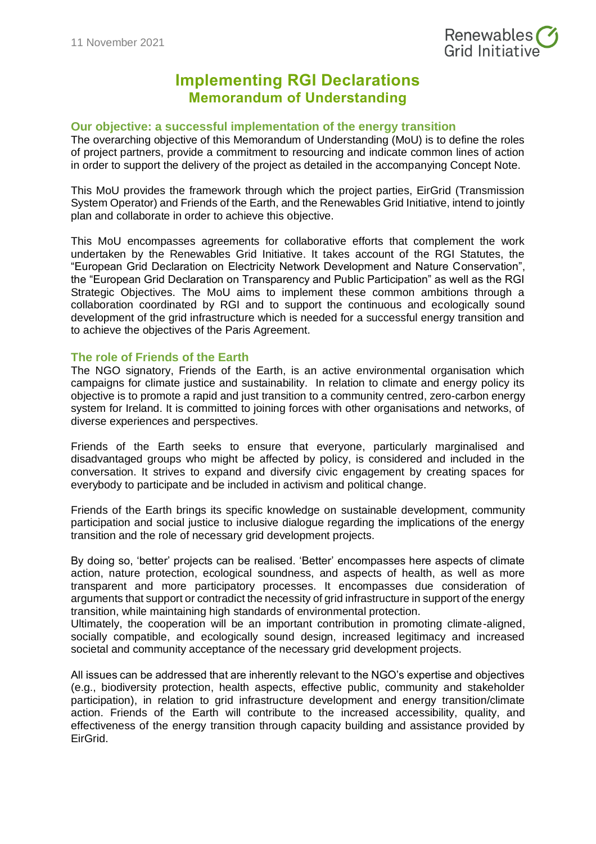

# **Implementing RGI Declarations Memorandum of Understanding**

### **Our objective: a successful implementation of the energy transition**

The overarching objective of this Memorandum of Understanding (MoU) is to define the roles of project partners, provide a commitment to resourcing and indicate common lines of action in order to support the delivery of the project as detailed in the accompanying Concept Note.

This MoU provides the framework through which the project parties, EirGrid (Transmission System Operator) and Friends of the Earth, and the Renewables Grid Initiative, intend to jointly plan and collaborate in order to achieve this objective.

This MoU encompasses agreements for collaborative efforts that complement the work undertaken by the Renewables Grid Initiative. It takes account of the RGI Statutes, the "European Grid Declaration on Electricity Network Development and Nature Conservation", the "European Grid Declaration on Transparency and Public Participation" as well as the RGI Strategic Objectives. The MoU aims to implement these common ambitions through a collaboration coordinated by RGI and to support the continuous and ecologically sound development of the grid infrastructure which is needed for a successful energy transition and to achieve the objectives of the Paris Agreement.

### **The role of Friends of the Earth**

The NGO signatory, Friends of the Earth, is an active environmental organisation which campaigns for climate justice and sustainability. In relation to climate and energy policy its objective is to promote a rapid and just transition to a community centred, zero-carbon energy system for Ireland. It is committed to joining forces with other organisations and networks, of diverse experiences and perspectives.

Friends of the Earth seeks to ensure that everyone, particularly marginalised and disadvantaged groups who might be affected by policy, is considered and included in the conversation. It strives to expand and diversify civic engagement by creating spaces for everybody to participate and be included in activism and political change.

Friends of the Earth brings its specific knowledge on sustainable development, community participation and social justice to inclusive dialogue regarding the implications of the energy transition and the role of necessary grid development projects.

By doing so, 'better' projects can be realised. 'Better' encompasses here aspects of climate action, nature protection, ecological soundness, and aspects of health, as well as more transparent and more participatory processes. It encompasses due consideration of arguments that support or contradict the necessity of grid infrastructure in support of the energy transition, while maintaining high standards of environmental protection.

Ultimately, the cooperation will be an important contribution in promoting climate-aligned, socially compatible, and ecologically sound design, increased legitimacy and increased societal and community acceptance of the necessary grid development projects.

All issues can be addressed that are inherently relevant to the NGO's expertise and objectives (e.g., biodiversity protection, health aspects, effective public, community and stakeholder participation), in relation to grid infrastructure development and energy transition/climate action. Friends of the Earth will contribute to the increased accessibility, quality, and effectiveness of the energy transition through capacity building and assistance provided by EirGrid.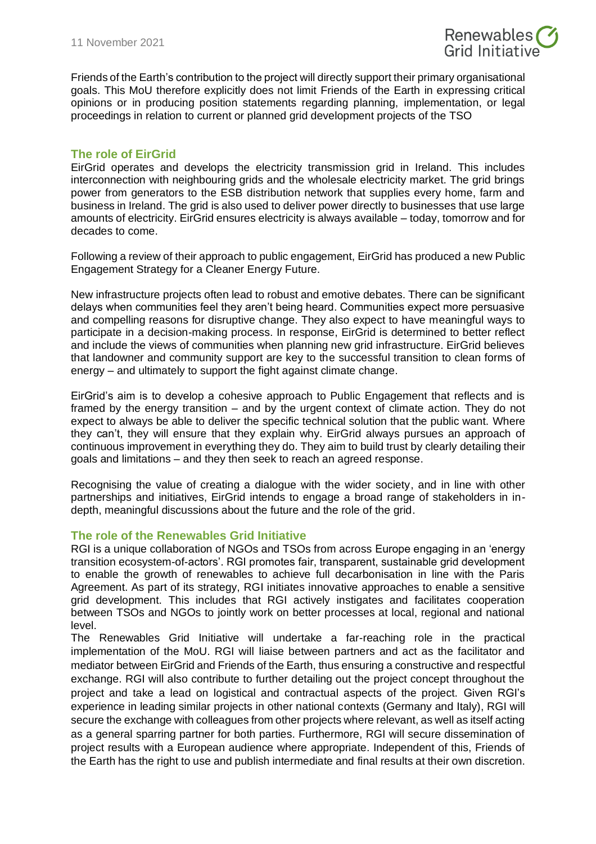

Friends of the Earth's contribution to the project will directly support their primary organisational goals. This MoU therefore explicitly does not limit Friends of the Earth in expressing critical opinions or in producing position statements regarding planning, implementation, or legal proceedings in relation to current or planned grid development projects of the TSO

# **The role of EirGrid**

EirGrid operates and develops the electricity transmission grid in Ireland. This includes interconnection with neighbouring grids and the wholesale electricity market. The grid brings power from generators to the ESB distribution network that supplies every home, farm and business in Ireland. The grid is also used to deliver power directly to businesses that use large amounts of electricity. EirGrid ensures electricity is always available – today, tomorrow and for decades to come.

Following a review of their approach to public engagement, EirGrid has produced a new Public Engagement Strategy for a Cleaner Energy Future.

New infrastructure projects often lead to robust and emotive debates. There can be significant delays when communities feel they aren't being heard. Communities expect more persuasive and compelling reasons for disruptive change. They also expect to have meaningful ways to participate in a decision-making process. In response, EirGrid is determined to better reflect and include the views of communities when planning new grid infrastructure. EirGrid believes that landowner and community support are key to the successful transition to clean forms of energy – and ultimately to support the fight against climate change.

EirGrid's aim is to develop a cohesive approach to Public Engagement that reflects and is framed by the energy transition – and by the urgent context of climate action. They do not expect to always be able to deliver the specific technical solution that the public want. Where they can't, they will ensure that they explain why. EirGrid always pursues an approach of continuous improvement in everything they do. They aim to build trust by clearly detailing their goals and limitations – and they then seek to reach an agreed response.

Recognising the value of creating a dialogue with the wider society, and in line with other partnerships and initiatives, EirGrid intends to engage a broad range of stakeholders in indepth, meaningful discussions about the future and the role of the grid.

## **The role of the Renewables Grid Initiative**

RGI is a unique collaboration of NGOs and TSOs from across Europe engaging in an 'energy transition ecosystem-of-actors'. RGI promotes fair, transparent, sustainable grid development to enable the growth of renewables to achieve full decarbonisation in line with the Paris Agreement. As part of its strategy, RGI initiates innovative approaches to enable a sensitive grid development. This includes that RGI actively instigates and facilitates cooperation between TSOs and NGOs to jointly work on better processes at local, regional and national level.

The Renewables Grid Initiative will undertake a far-reaching role in the practical implementation of the MoU. RGI will liaise between partners and act as the facilitator and mediator between EirGrid and Friends of the Earth, thus ensuring a constructive and respectful exchange. RGI will also contribute to further detailing out the project concept throughout the project and take a lead on logistical and contractual aspects of the project. Given RGI's experience in leading similar projects in other national contexts (Germany and Italy), RGI will secure the exchange with colleagues from other projects where relevant, as well as itself acting as a general sparring partner for both parties. Furthermore, RGI will secure dissemination of project results with a European audience where appropriate. Independent of this, Friends of the Earth has the right to use and publish intermediate and final results at their own discretion.